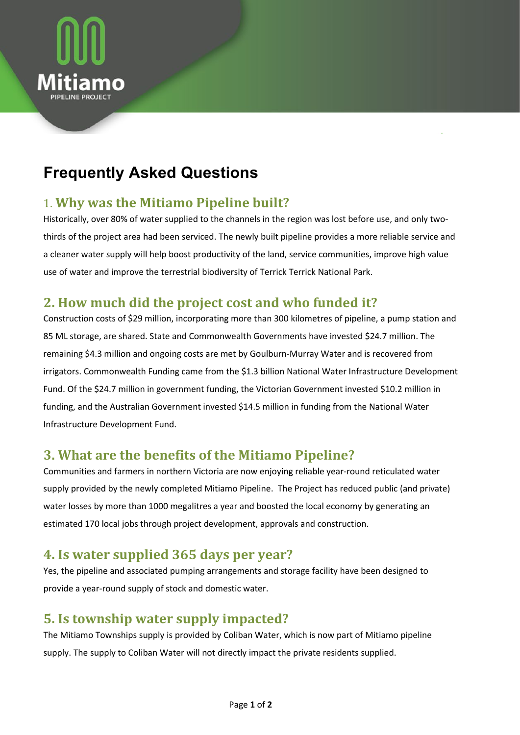

# **Frequently Asked Questions**

#### 1. **Why was the Mitiamo Pipeline built?**

Historically, over 80% of water supplied to the channels in the region was lost before use, and only twothirds of the project area had been serviced. The newly built pipeline provides a more reliable service and a cleaner water supply will help boost productivity of the land, service communities, improve high value use of water and improve the terrestrial biodiversity of Terrick Terrick National Park.

### **2. How much did the project cost and who funded it?**

Construction costs of \$29 million, incorporating more than 300 kilometres of pipeline, a pump station and 85 ML storage, are shared. State and Commonwealth Governments have invested \$24.7 million. The remaining \$4.3 million and ongoing costs are met by Goulburn-Murray Water and is recovered from irrigators. Commonwealth Funding came from the \$1.3 billion National Water Infrastructure Development Fund. Of the \$24.7 million in government funding, the Victorian Government invested \$10.2 million in funding, and the Australian Government invested \$14.5 million in funding from the National Water Infrastructure Development Fund.

### **3. What are the benefits of the Mitiamo Pipeline?**

Communities and farmers in northern Victoria are now enjoying reliable year-round reticulated water supply provided by the newly completed Mitiamo Pipeline. The Project has reduced public (and private) water losses by more than 1000 megalitres a year and boosted the local economy by generating an estimated 170 local jobs through project development, approvals and construction.

#### **4. Is water supplied 365 days per year?**

Yes, the pipeline and associated pumping arrangements and storage facility have been designed to provide a year-round supply of stock and domestic water.

#### **5. Is township water supply impacted?**

The Mitiamo Townships supply is provided by Coliban Water, which is now part of Mitiamo pipeline supply. The supply to Coliban Water will not directly impact the private residents supplied.